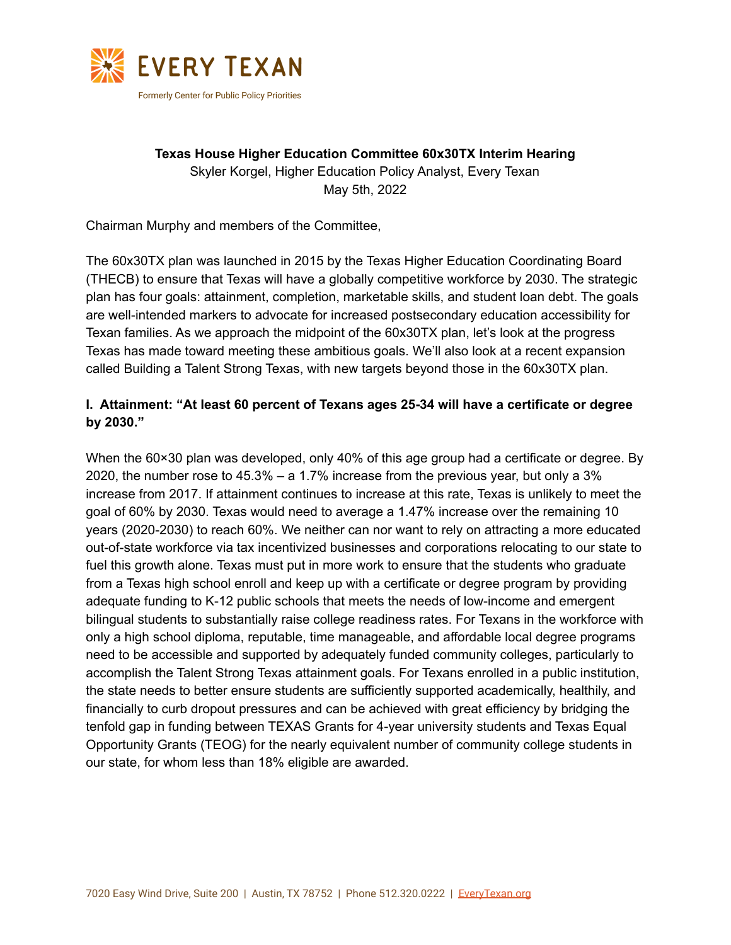

**Texas House Higher Education Committee 60x30TX Interim Hearing** Skyler Korgel, Higher Education Policy Analyst, Every Texan May 5th, 2022

Chairman Murphy and members of the Committee,

The 60x30TX plan was launched in 2015 by the Texas Higher Education Coordinating Board (THECB) to ensure that Texas will have a globally competitive workforce by 2030. The strategic plan has four goals: attainment, completion, marketable skills, and student loan debt. The goals are well-intended markers to advocate for increased postsecondary education accessibility for Texan families. As we approach the midpoint of the 60x30TX plan, let's look at the progress Texas has made toward meeting these ambitious goals. We'll also look at a recent expansion called Building a Talent Strong Texas, with new targets beyond those in the 60x30TX plan.

#### **I. Attainment: "At least 60 percent of Texans ages 25-34 will have a certificate or degree by 2030."**

When the 60×30 plan was developed, only 40% of this age group had a certificate or degree. By 2020, the number rose to 45.3% – a 1.7% increase from the previous year, but only a 3% increase from 2017. If attainment continues to increase at this rate, Texas is unlikely to meet the goal of 60% by 2030. Texas would need to average a 1.47% increase over the remaining 10 years (2020-2030) to reach 60%. We neither can nor want to rely on attracting a more educated out-of-state workforce via tax incentivized businesses and corporations relocating to our state to fuel this growth alone. Texas must put in more work to ensure that the students who graduate from a Texas high school enroll and keep up with a certificate or degree program by providing adequate funding to K-12 public schools that meets the needs of low-income and emergent bilingual students to substantially raise college readiness rates. For Texans in the workforce with only a high school diploma, reputable, time manageable, and affordable local degree programs need to be accessible and supported by adequately funded community colleges, particularly to accomplish the Talent Strong Texas attainment goals. For Texans enrolled in a public institution, the state needs to better ensure students are sufficiently supported academically, healthily, and financially to curb dropout pressures and can be achieved with great efficiency by bridging the tenfold gap in funding between TEXAS Grants for 4-year university students and Texas Equal Opportunity Grants (TEOG) for the nearly equivalent number of community college students in our state, for whom less than 18% eligible are awarded.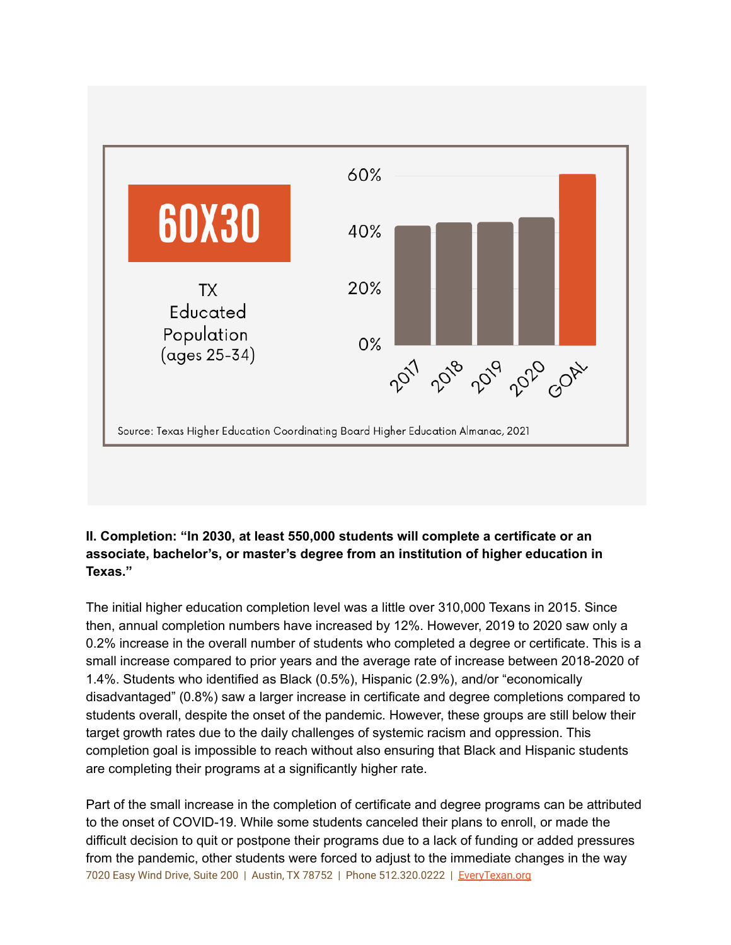

## **II. Completion: "In 2030, at least 550,000 students will complete a certificate or an associate, bachelor's, or master's degree from an institution of higher education in Texas."**

The initial higher education completion level was a little over 310,000 Texans in 2015. Since then, annual completion numbers have increased by 12%. However, 2019 to 2020 saw only a 0.2% increase in the overall number of students who completed a degree or certificate. This is a small increase compared to prior years and the average rate of increase between 2018-2020 of 1.4%. Students who identified as Black (0.5%), Hispanic (2.9%), and/or "economically disadvantaged" (0.8%) saw a larger increase in certificate and degree completions compared to students overall, despite the onset of the pandemic. However, these groups are still below their target growth rates due to the daily challenges of systemic racism and oppression. This completion goal is impossible to reach without also ensuring that Black and Hispanic students are completing their programs at a significantly higher rate.

Part of the small increase in the completion of certificate and degree programs can be attributed to the onset of COVID-19. While some students canceled their plans to enroll, or made the difficult decision to quit or postpone their programs due to a lack of funding or added pressures from the pandemic, other students were forced to adjust to the immediate changes in the way 7020 Easy Wind Drive, Suite 200 | Austin, TX 78752 | Phone 512.320.0222 | EveryTexan.org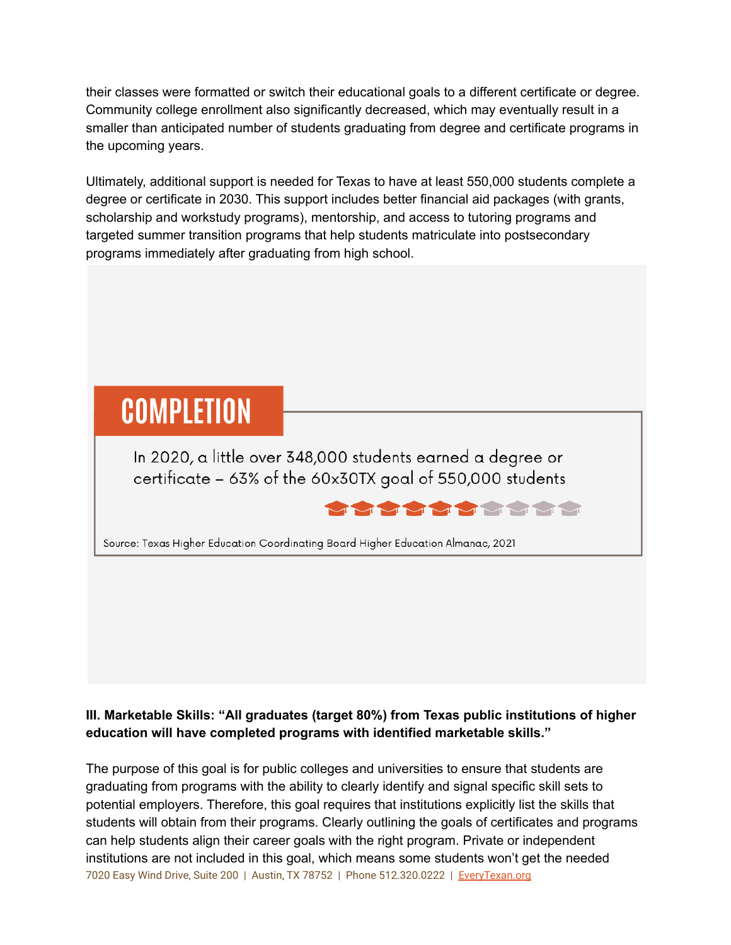their classes were formatted or switch their educational goals to a different certificate or degree. Community college enrollment also significantly decreased, which may eventually result in a smaller than anticipated number of students graduating from degree and certificate programs in the upcoming years.

Ultimately, additional support is needed for Texas to have at least 550,000 students complete a degree or certificate in 2030. This support includes better financial aid packages (with grants, scholarship and workstudy programs), mentorship, and access to tutoring programs and targeted summer transition programs that help students matriculate into postsecondary programs immediately after graduating from high school.

# **COMPLETION**

In 2020, a little over 348,000 students earned a degree or certificate - 63% of the 60x30TX goal of 550,000 students



Source: Texas Higher Education Coordinating Board Higher Education Almanac, 2021

## **III. Marketable Skills: "All graduates (target 80%) from Texas public institutions of higher education will have completed programs with identified marketable skills."**

The purpose of this goal is for public colleges and universities to ensure that students are graduating from programs with the ability to clearly identify and signal specific skill sets to potential employers. Therefore, this goal requires that institutions explicitly list the skills that students will obtain from their programs. Clearly outlining the goals of certificates and programs can help students align their career goals with the right program. Private or independent institutions are not included in this goal, which means some students won't get the needed 7020 Easy Wind Drive, Suite 200 | Austin, TX 78752 | Phone 512.320.0222 | EveryTexan.org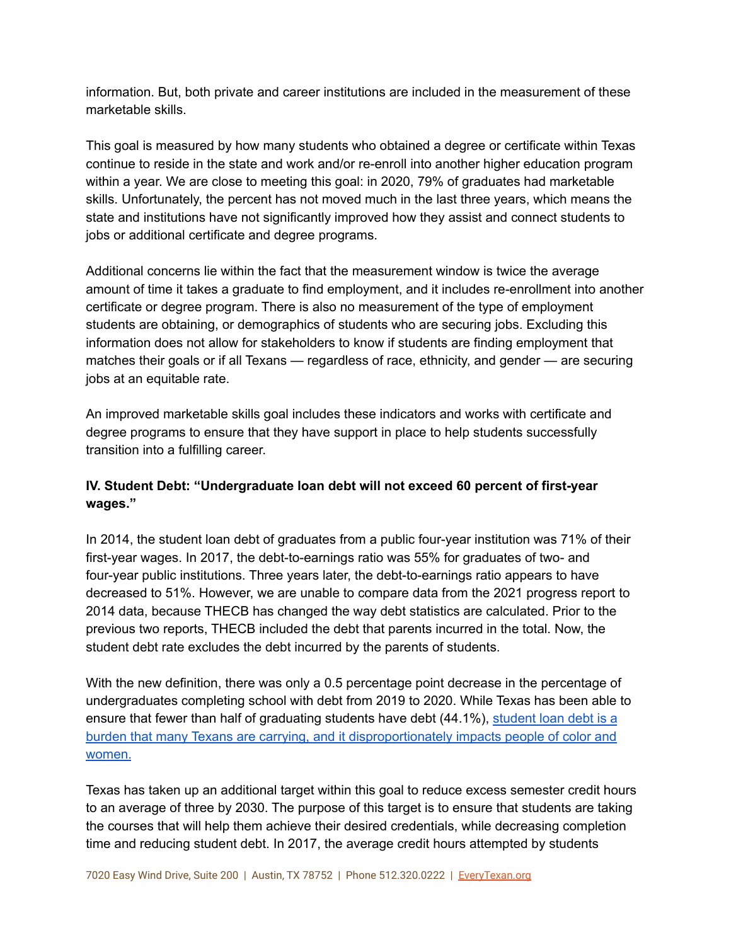information. But, both private and career institutions are included in the measurement of these marketable skills.

This goal is measured by how many students who obtained a degree or certificate within Texas continue to reside in the state and work and/or re-enroll into another higher education program within a year. We are close to meeting this goal: in 2020, 79% of graduates had marketable skills. Unfortunately, the percent has not moved much in the last three years, which means the state and institutions have not significantly improved how they assist and connect students to jobs or additional certificate and degree programs.

Additional concerns lie within the fact that the measurement window is twice the average amount of time it takes a graduate to find employment, and it includes re-enrollment into another certificate or degree program. There is also no measurement of the type of employment students are obtaining, or demographics of students who are securing jobs. Excluding this information does not allow for stakeholders to know if students are finding employment that matches their goals or if all Texans — regardless of race, ethnicity, and gender — are securing jobs at an equitable rate.

An improved marketable skills goal includes these indicators and works with certificate and degree programs to ensure that they have support in place to help students successfully transition into a fulfilling career.

## **IV. Student Debt: "Undergraduate loan debt will not exceed 60 percent of first-year wages."**

In 2014, the student loan debt of graduates from a public four-year institution was 71% of their first-year wages. In 2017, the debt-to-earnings ratio was 55% for graduates of two- and four-year public institutions. Three years later, the debt-to-earnings ratio appears to have decreased to 51%. However, we are unable to compare data from the 2021 progress report to 2014 data, because THECB has changed the way debt statistics are calculated. Prior to the previous two reports, THECB included the debt that parents incurred in the total. Now, the student debt rate excludes the debt incurred by the parents of students.

With the new definition, there was only a 0.5 percentage point decrease in the percentage of undergraduates completing school with debt from 2019 to 2020. While Texas has been able to ensure that fewer than half of graduating students have debt (44.1%), [student](https://younginvincibles.org/wp-content/uploads/2021/01/Student_Debt_in_Texas.pdf) loan debt is a burden that many Texans are carrying, and it [disproportionately](https://younginvincibles.org/wp-content/uploads/2021/01/Student_Debt_in_Texas.pdf) impacts people of color and [women.](https://younginvincibles.org/wp-content/uploads/2021/01/Student_Debt_in_Texas.pdf)

Texas has taken up an additional target within this goal to reduce excess semester credit hours to an average of three by 2030. The purpose of this target is to ensure that students are taking the courses that will help them achieve their desired credentials, while decreasing completion time and reducing student debt. In 2017, the average credit hours attempted by students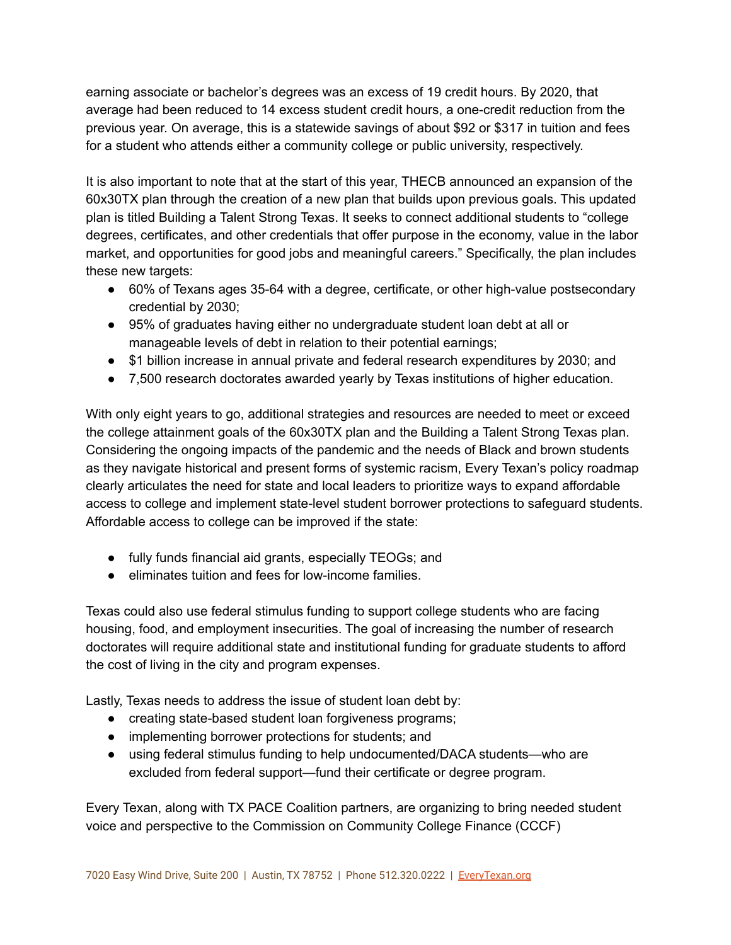earning associate or bachelor's degrees was an excess of 19 credit hours. By 2020, that average had been reduced to 14 excess student credit hours, a one-credit reduction from the previous year. On average, this is a statewide savings of about \$92 or \$317 in tuition and fees for a student who attends either a community college or public university, respectively.

It is also important to note that at the start of this year, THECB announced an expansion of the 60x30TX plan through the creation of a new plan that builds upon previous goals. This updated plan is titled Building a Talent Strong Texas. It seeks to connect additional students to "college degrees, certificates, and other credentials that offer purpose in the economy, value in the labor market, and opportunities for good jobs and meaningful careers." Specifically, the plan includes these new targets:

- 60% of Texans ages 35-64 with a degree, certificate, or other high-value postsecondary credential by 2030;
- 95% of graduates having either no undergraduate student loan debt at all or manageable levels of debt in relation to their potential earnings;
- \$1 billion increase in annual private and federal research expenditures by 2030; and
- 7,500 research doctorates awarded yearly by Texas institutions of higher education.

With only eight years to go, additional strategies and resources are needed to meet or exceed the college attainment goals of the 60x30TX plan and the Building a Talent Strong Texas plan. Considering the ongoing impacts of the pandemic and the needs of Black and brown students as they navigate historical and present forms of systemic racism, Every Texan's policy roadmap clearly articulates the need for state and local leaders to prioritize ways to expand affordable access to college and implement state-level student borrower protections to safeguard students. Affordable access to college can be improved if the state:

- fully funds financial aid grants, especially TEOGs; and
- eliminates tuition and fees for low-income families.

Texas could also use federal stimulus funding to support college students who are facing housing, food, and employment insecurities. The goal of increasing the number of research doctorates will require additional state and institutional funding for graduate students to afford the cost of living in the city and program expenses.

Lastly, Texas needs to address the issue of student loan debt by:

- creating state-based student loan forgiveness programs;
- implementing borrower protections for students; and
- using federal stimulus funding to help undocumented/DACA students—who are excluded from federal support—fund their certificate or degree program.

Every Texan, along with TX PACE Coalition partners, are organizing to bring needed student voice and perspective to the Commission on Community College Finance (CCCF)